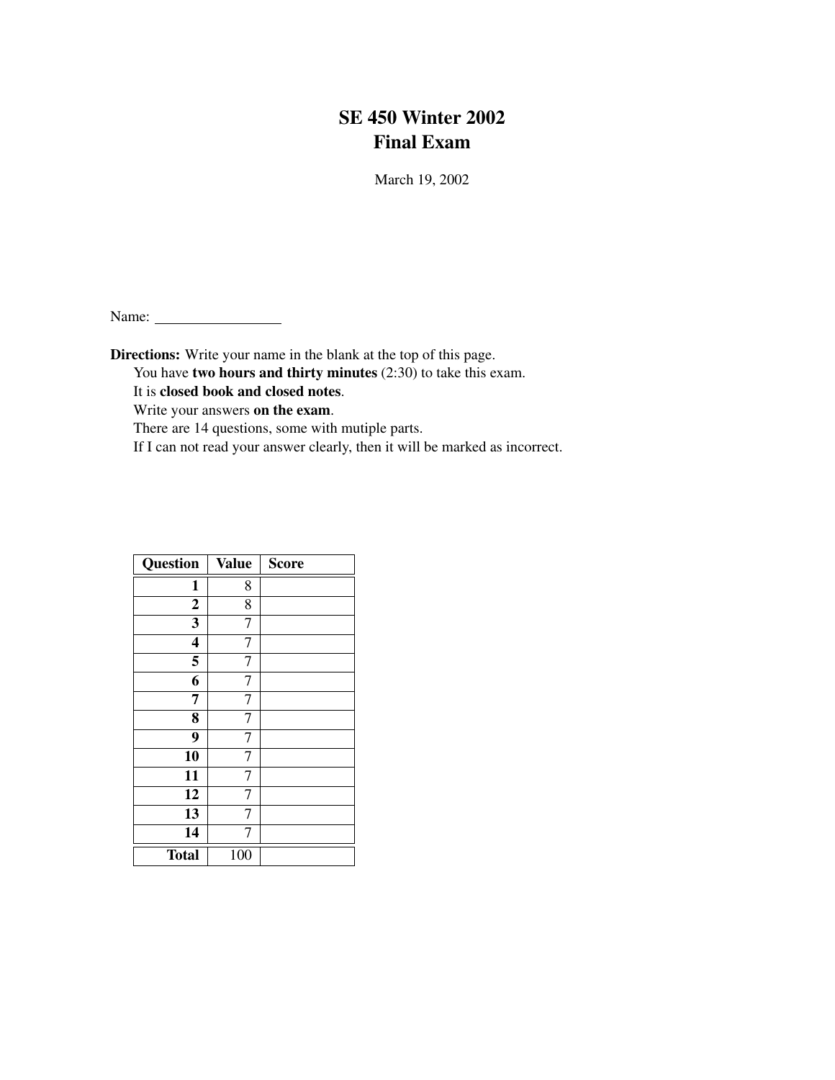# SE 450 Winter 2002 Final Exam

March 19, 2002

Name:

Directions: Write your name in the blank at the top of this page.

You have two hours and thirty minutes (2:30) to take this exam.

It is closed book and closed notes.

Write your answers on the exam.

There are 14 questions, some with mutiple parts.

If I can not read your answer clearly, then it will be marked as incorrect.

| Question                | <b>Value</b> | <b>Score</b> |
|-------------------------|--------------|--------------|
| $\mathbf{1}$            | 8            |              |
| $\boldsymbol{2}$        | 8            |              |
| 3                       | 7            |              |
| $\overline{\mathbf{4}}$ | 7            |              |
| 5                       | 7            |              |
| 6                       | 7            |              |
| 7                       | 7            |              |
| 8                       | 7            |              |
| 9                       | 7            |              |
| 10                      | 7            |              |
| 11                      |              |              |
| 12                      | 7            |              |
| 13                      | 7            |              |
| 14                      |              |              |
| <b>Total</b>            | 100          |              |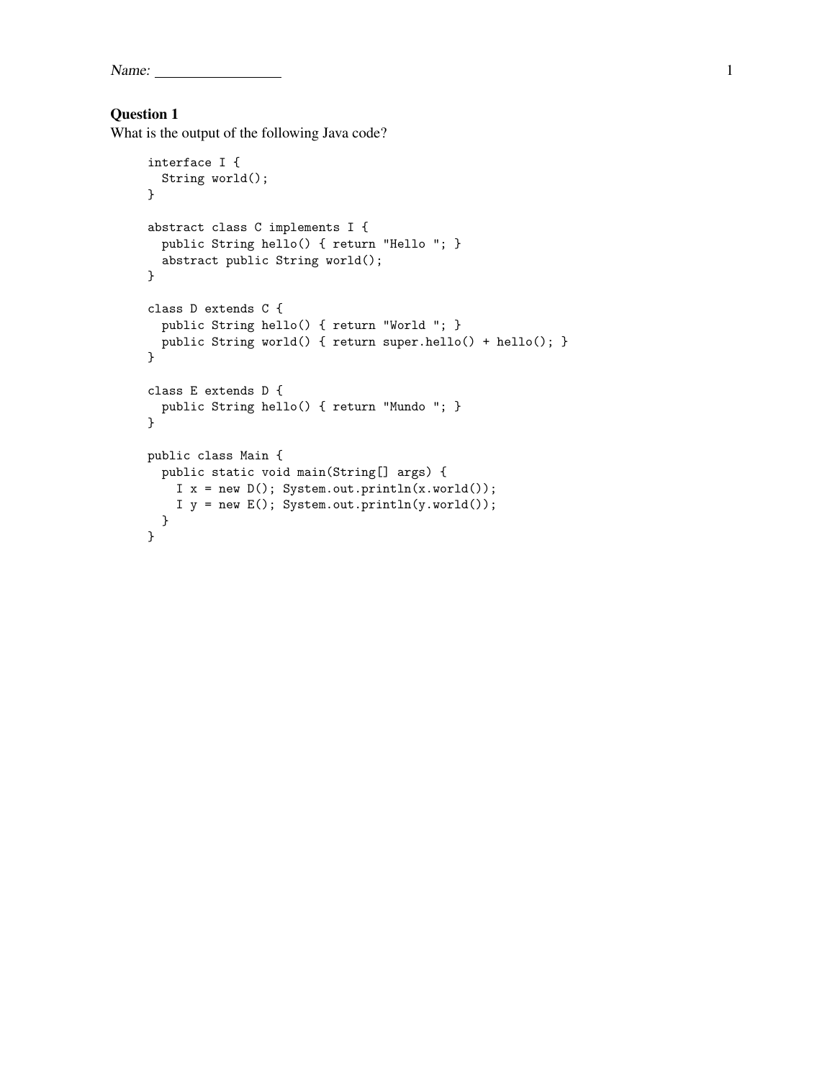Name:  $\frac{1}{1}$ 

### Question 1

What is the output of the following Java code?

```
interface I {
  String world();
}
abstract class C implements I {
 public String hello() { return "Hello "; }
  abstract public String world();
}
class D extends C {
 public String hello() { return "World "; }
 public String world() { return super.hello() + hello(); }
}
class E extends D {
  public String hello() { return "Mundo "; }
}
public class Main {
 public static void main(String[] args) {
   I x = new D(); System.out.println(x.world());
    I y = new E(); System.out.println(y.world());
 }
}
```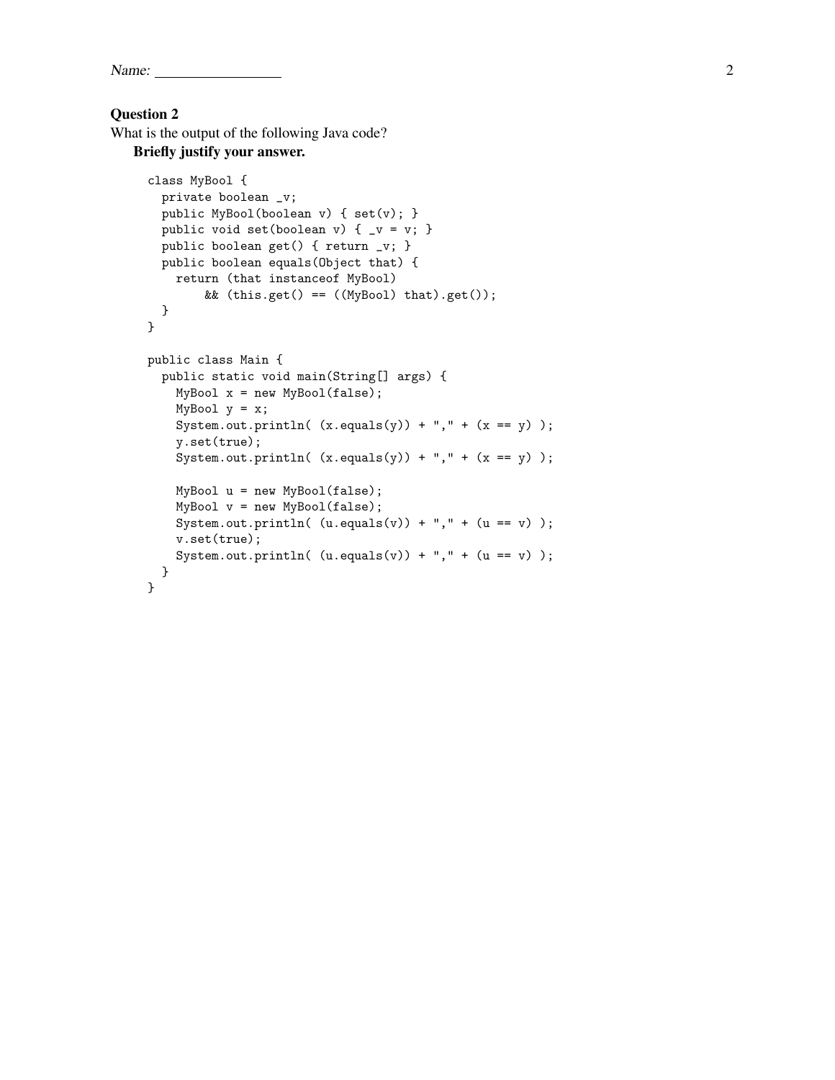Name: 2

#### Question 2

What is the output of the following Java code?

Briefly justify your answer.

```
class MyBool {
 private boolean _v;
 public MyBool(boolean v) { set(v); }
 public void set(boolean v) { _v = v; }
 public boolean get() { return _v; }
 public boolean equals(Object that) {
   return (that instanceof MyBool)
        && (this.get() == ((MyBool) that).get());
 }
}
public class Main {
 public static void main(String[] args) {
    MyBool x = new MyBool(false);MyBool y = x;
    System.out.println((x.\text{equals}(y)) + ", " + (x == y));
    y.set(true);
    System.out.println((x.\text{equals}(y)) + ", " + (x == y));
    MyBool u = new MyBool(false);
    MyBool v = new MyBool(false);
    \texttt{System.out.println( (u.equals(v)) + ", " + (u == v)) };v.set(true);
    System.out.println((u.\text{equals}(v)) + ", " + (u == v));
 }
}
```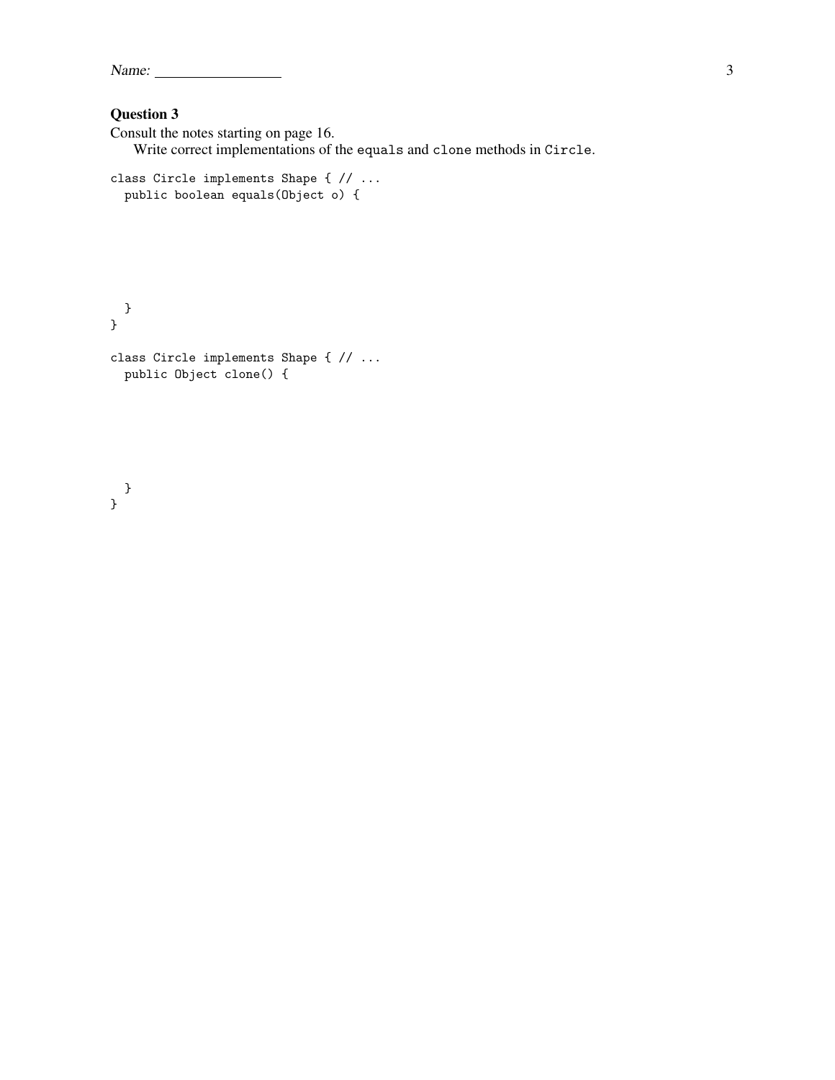| Name: |  |
|-------|--|
|       |  |

Consult the notes starting on page 16. Write correct implementations of the equals and clone methods in Circle.

```
class Circle implements Shape { // ...
  public boolean equals(Object o) {
```

```
}
}
class Circle implements Shape { // ...
 public Object clone() {
```

```
}
}
```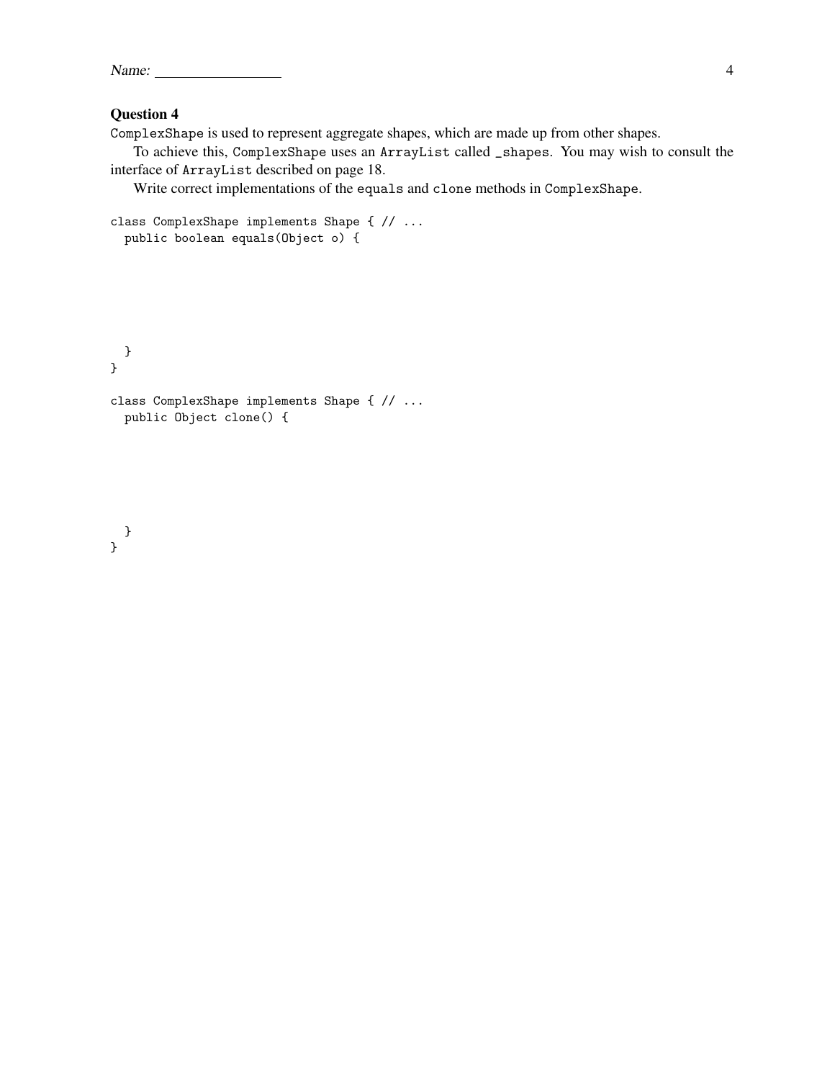ComplexShape is used to represent aggregate shapes, which are made up from other shapes.

To achieve this, ComplexShape uses an ArrayList called \_shapes. You may wish to consult the interface of ArrayList described on page 18.

Write correct implementations of the equals and clone methods in ComplexShape.

```
class ComplexShape implements Shape { // ...
  public boolean equals(Object o) {
```

```
}
class ComplexShape implements Shape { // ...
  public Object clone() {
```

```
}
}
```
}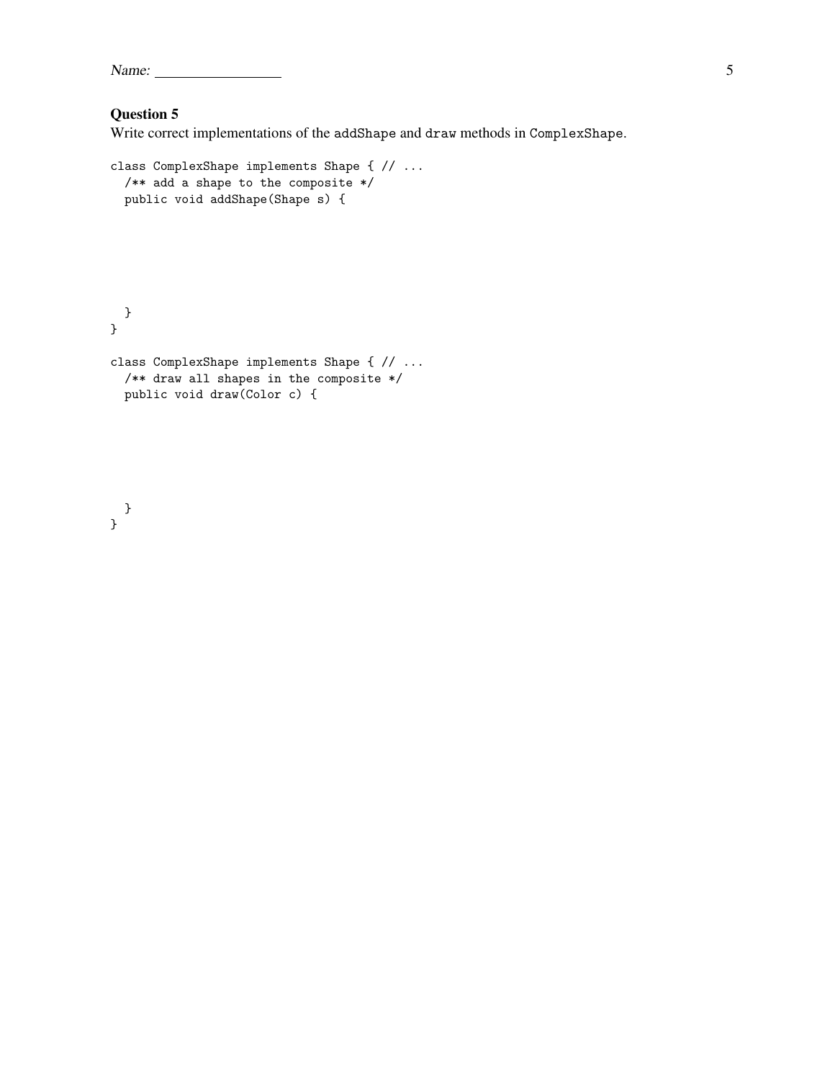Name: 5

## Question 5

Write correct implementations of the addShape and draw methods in ComplexShape.

```
class ComplexShape implements Shape { // ...
  /** add a shape to the composite */
  public void addShape(Shape s) {
}
}
class ComplexShape implements Shape { // ...
 /** draw all shapes in the composite */
  public void draw(Color c) {
```
} }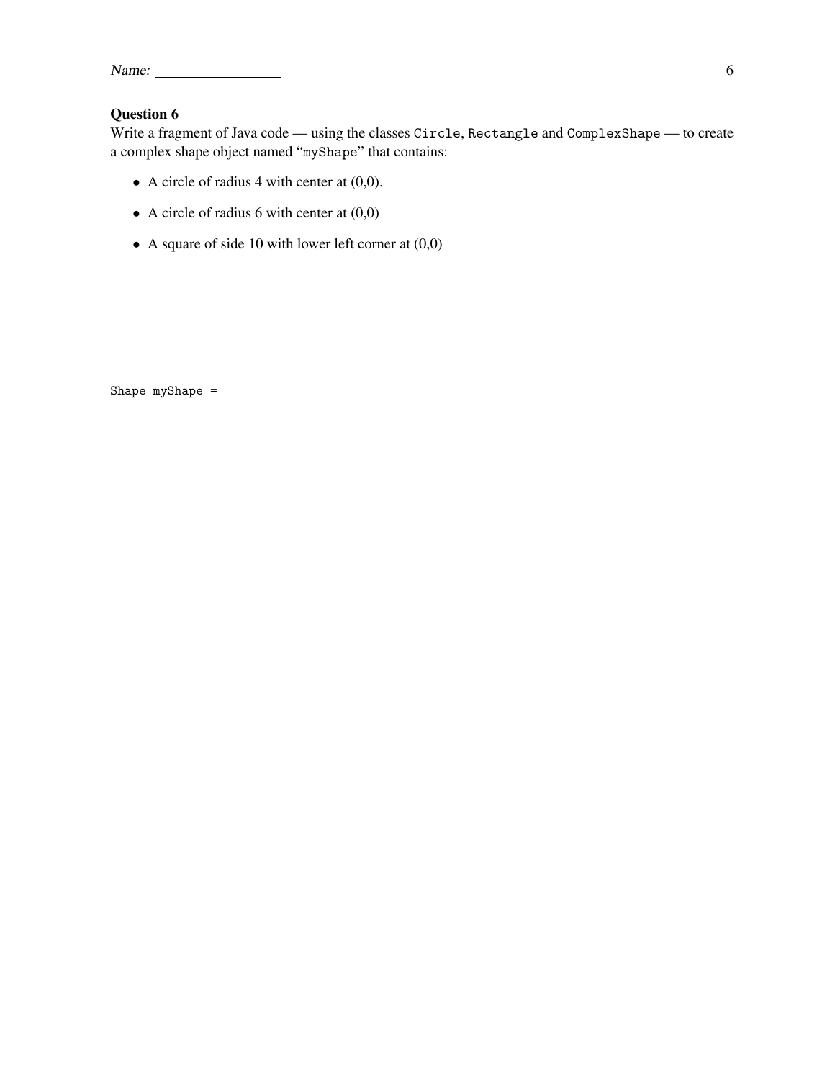| Name: |  |  |
|-------|--|--|
|       |  |  |

Write a fragment of Java code — using the classes Circle, Rectangle and ComplexShape — to create a complex shape object named "myShape" that contains:

- A circle of radius 4 with center at  $(0,0)$ .
- A circle of radius 6 with center at  $(0,0)$
- A square of side 10 with lower left corner at  $(0,0)$

Shape myShape =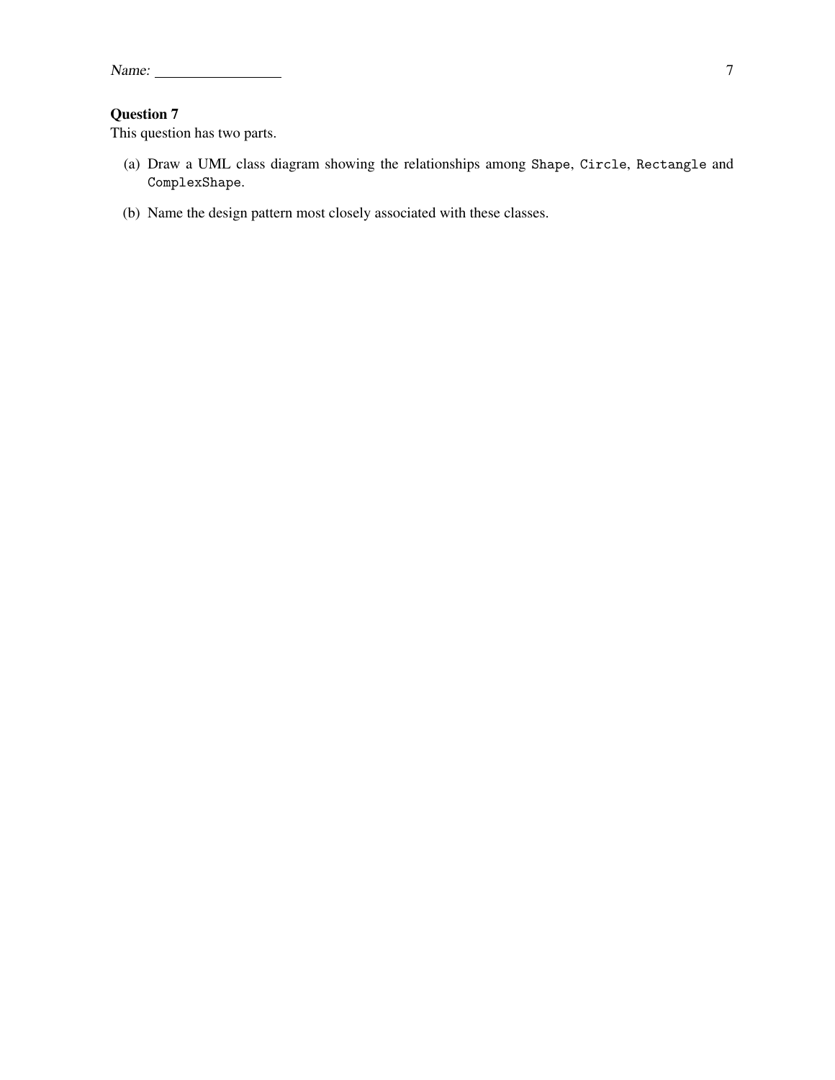This question has two parts.

- (a) Draw a UML class diagram showing the relationships among Shape, Circle, Rectangle and ComplexShape.
- (b) Name the design pattern most closely associated with these classes.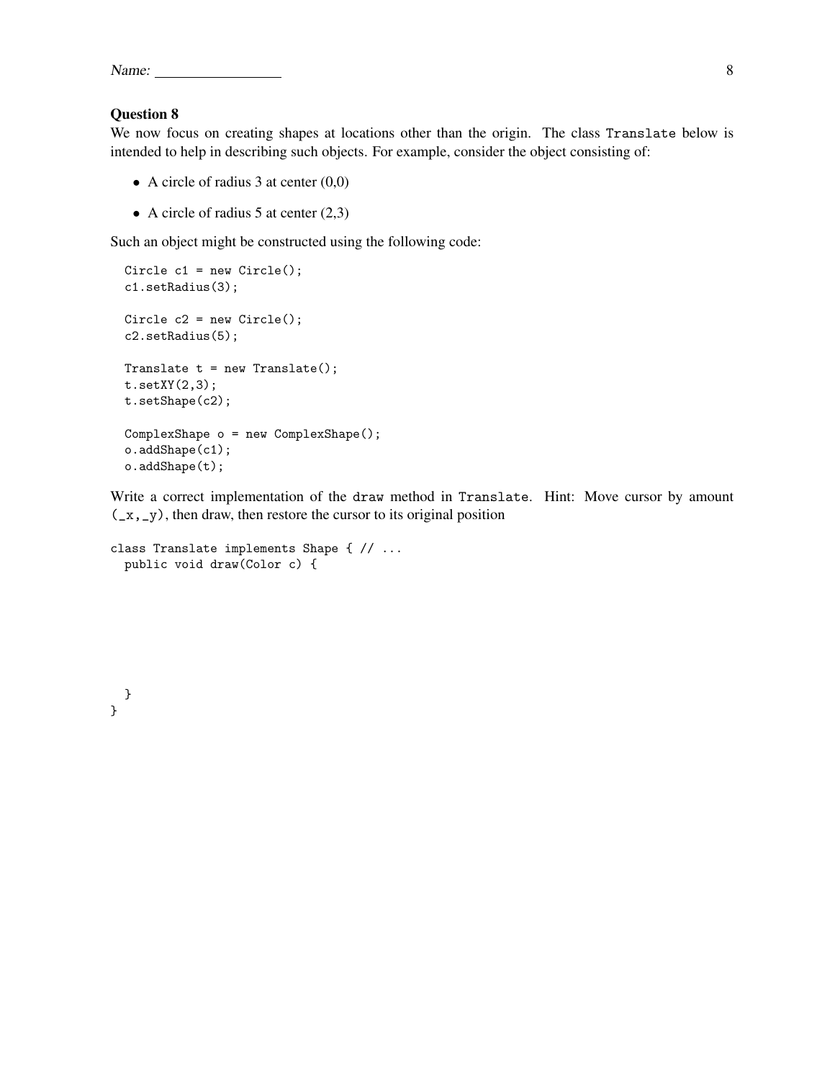| <b>Name</b> |  |
|-------------|--|
|             |  |

We now focus on creating shapes at locations other than the origin. The class Translate below is intended to help in describing such objects. For example, consider the object consisting of:

- A circle of radius 3 at center  $(0,0)$
- A circle of radius 5 at center  $(2,3)$

Such an object might be constructed using the following code:

```
Circle c1 = new Circle();
c1.setRadius(3);
Circle c2 = new Circle();c2.setRadius(5);
Translate t = new Translate();
t.setXY(2,3);
t.setShape(c2);
ComplexShape o = new ComplexShape();
o.addShape(c1);
o.addShape(t);
```
Write a correct implementation of the draw method in Translate. Hint: Move cursor by amount  $(\_x, \_y)$ , then draw, then restore the cursor to its original position

```
class Translate implements Shape { // ...
 public void draw(Color c) {
```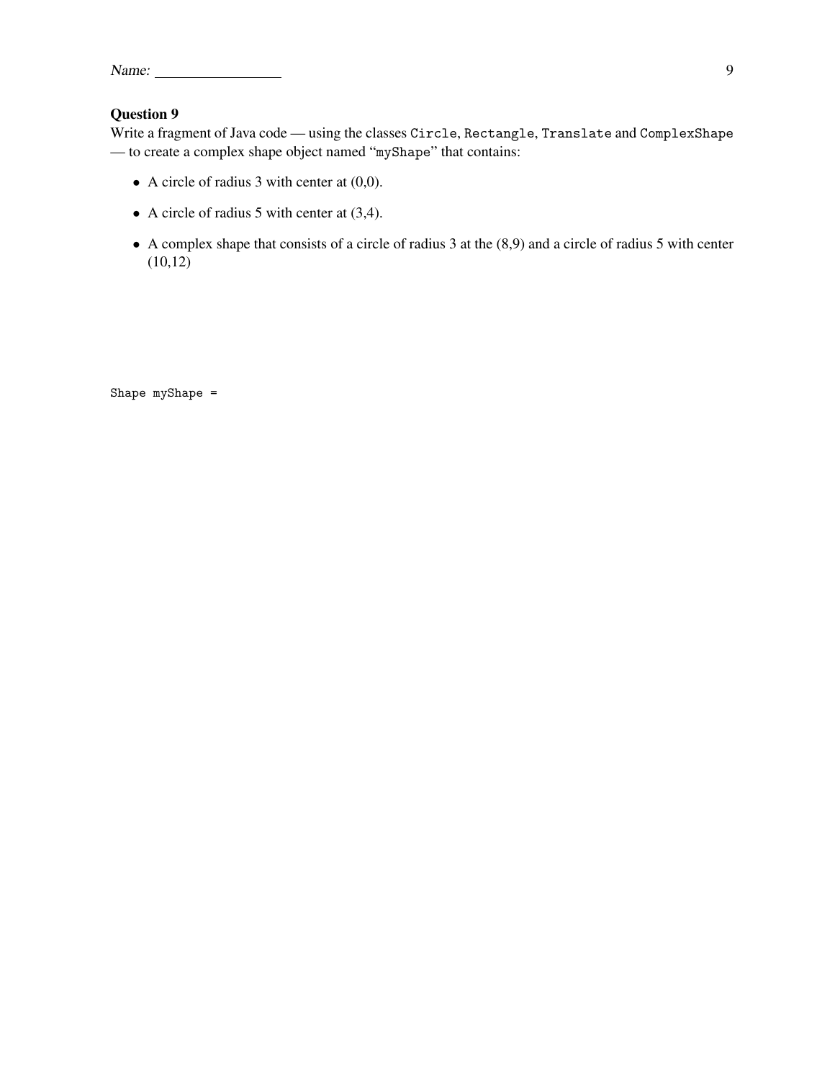| Name: |  |
|-------|--|
|       |  |

Write a fragment of Java code — using the classes Circle, Rectangle, Translate and ComplexShape — to create a complex shape object named "myShape" that contains:

- A circle of radius 3 with center at  $(0,0)$ .
- A circle of radius 5 with center at (3,4).
- A complex shape that consists of a circle of radius 3 at the (8,9) and a circle of radius 5 with center  $(10,12)$

Shape myShape =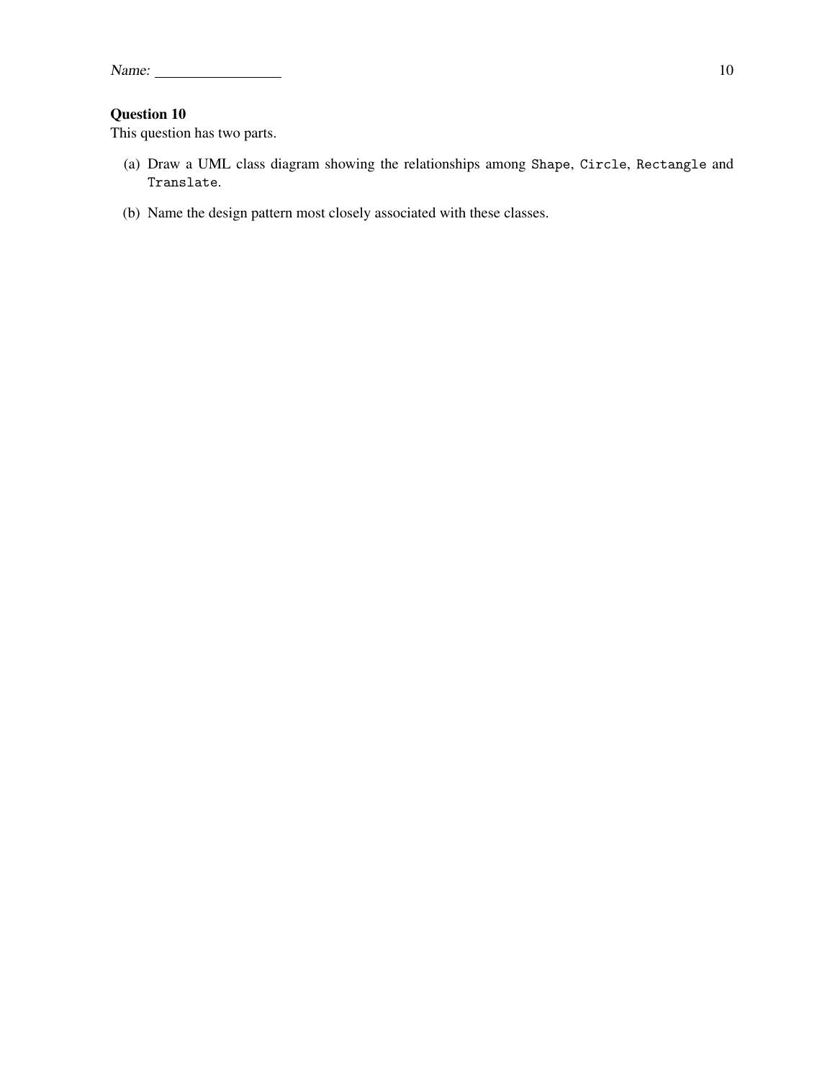This question has two parts.

- (a) Draw a UML class diagram showing the relationships among Shape, Circle, Rectangle and Translate.
- (b) Name the design pattern most closely associated with these classes.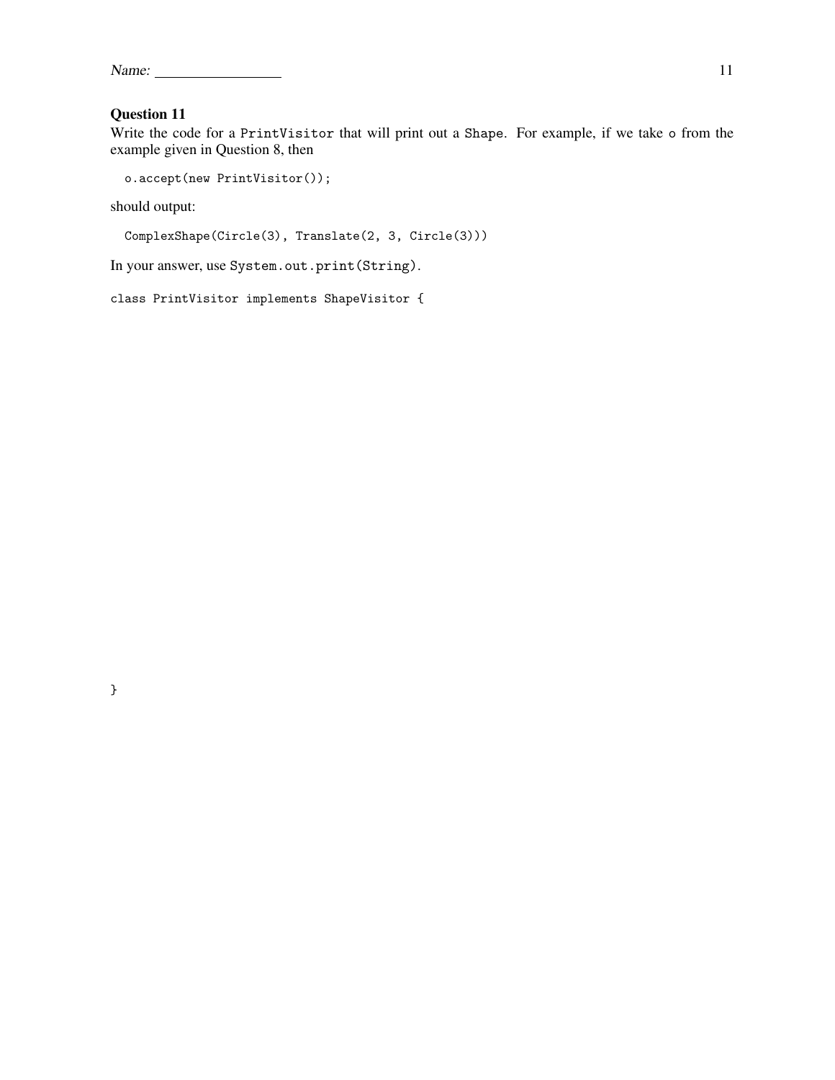| Name: |  |
|-------|--|
|       |  |

Write the code for a PrintVisitor that will print out a Shape. For example, if we take o from the example given in Question 8, then

```
o.accept(new PrintVisitor());
```
should output:

```
ComplexShape(Circle(3), Translate(2, 3, Circle(3)))
```
In your answer, use System.out.print(String).

class PrintVisitor implements ShapeVisitor {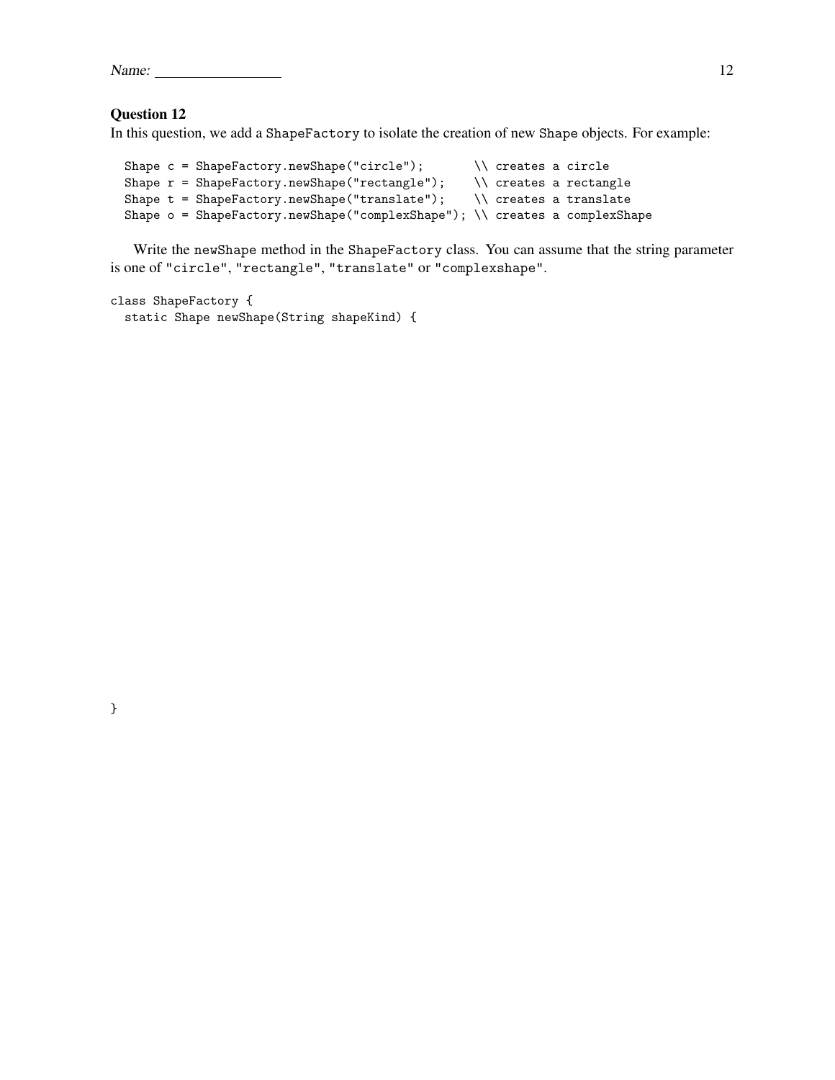| Name: |  | --<br>-- |  |
|-------|--|----------|--|
|       |  |          |  |

}

In this question, we add a ShapeFactory to isolate the creation of new Shape objects. For example:

```
Shape c = ShapeFactory.newShape("circle"); \\ creates a circle
Shape r = ShapeFactory.newShape("rectangle"); \\ creates a rectangle
Shape t = ShapeFactory.newShape("translate"); \\ creates a translate
Shape o = ShapeFactory.newShape("complexShape"); \\ creates a complexShape
```
Write the newShape method in the ShapeFactory class. You can assume that the string parameter is one of "circle", "rectangle", "translate" or "complexshape".

```
class ShapeFactory {
  static Shape newShape(String shapeKind) {
```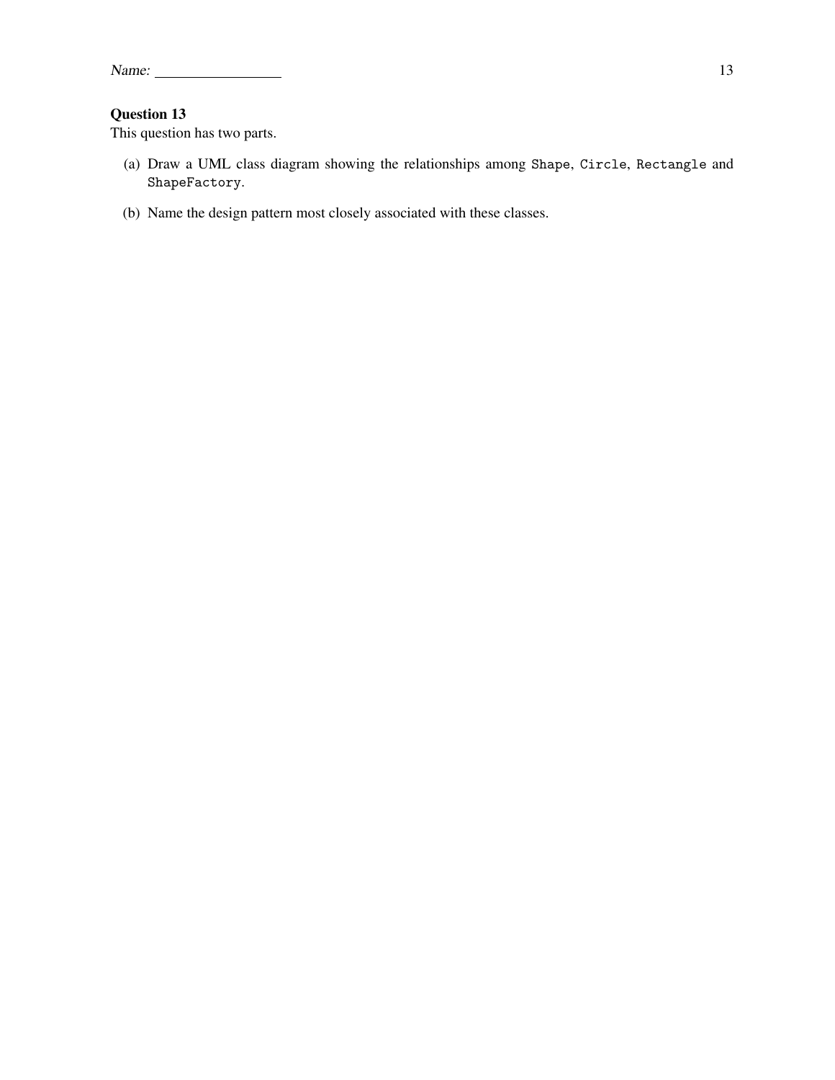This question has two parts.

- (a) Draw a UML class diagram showing the relationships among Shape, Circle, Rectangle and ShapeFactory.
- (b) Name the design pattern most closely associated with these classes.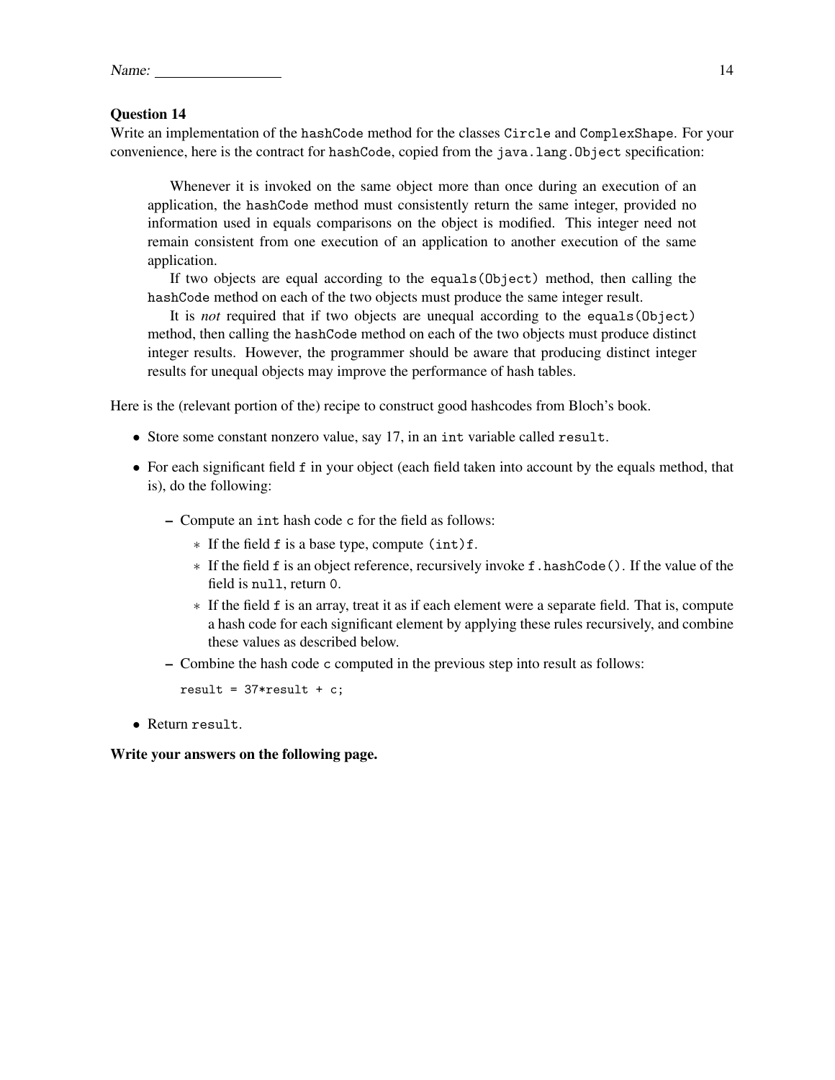| Name: |  |  |
|-------|--|--|
|       |  |  |

Write an implementation of the hashCode method for the classes Circle and ComplexShape. For your convenience, here is the contract for hashCode, copied from the java.lang.Object specification:

Whenever it is invoked on the same object more than once during an execution of an application, the hashCode method must consistently return the same integer, provided no information used in equals comparisons on the object is modified. This integer need not remain consistent from one execution of an application to another execution of the same application.

If two objects are equal according to the equals(Object) method, then calling the hashCode method on each of the two objects must produce the same integer result.

It is *not* required that if two objects are unequal according to the equals(Object) method, then calling the hashCode method on each of the two objects must produce distinct integer results. However, the programmer should be aware that producing distinct integer results for unequal objects may improve the performance of hash tables.

Here is the (relevant portion of the) recipe to construct good hashcodes from Bloch's book.

- Store some constant nonzero value, say 17, in an int variable called result.
- For each significant field f in your object (each field taken into account by the equals method, that is), do the following:
	- Compute an int hash code c for the field as follows:
		- ∗ If the field f is a base type, compute (int)f.
		- ∗ If the field f is an object reference, recursively invoke f.hashCode(). If the value of the field is null, return 0.
		- ∗ If the field f is an array, treat it as if each element were a separate field. That is, compute a hash code for each significant element by applying these rules recursively, and combine these values as described below.
	- Combine the hash code c computed in the previous step into result as follows:

result =  $37*$ result + c;

• Return result.

Write your answers on the following page.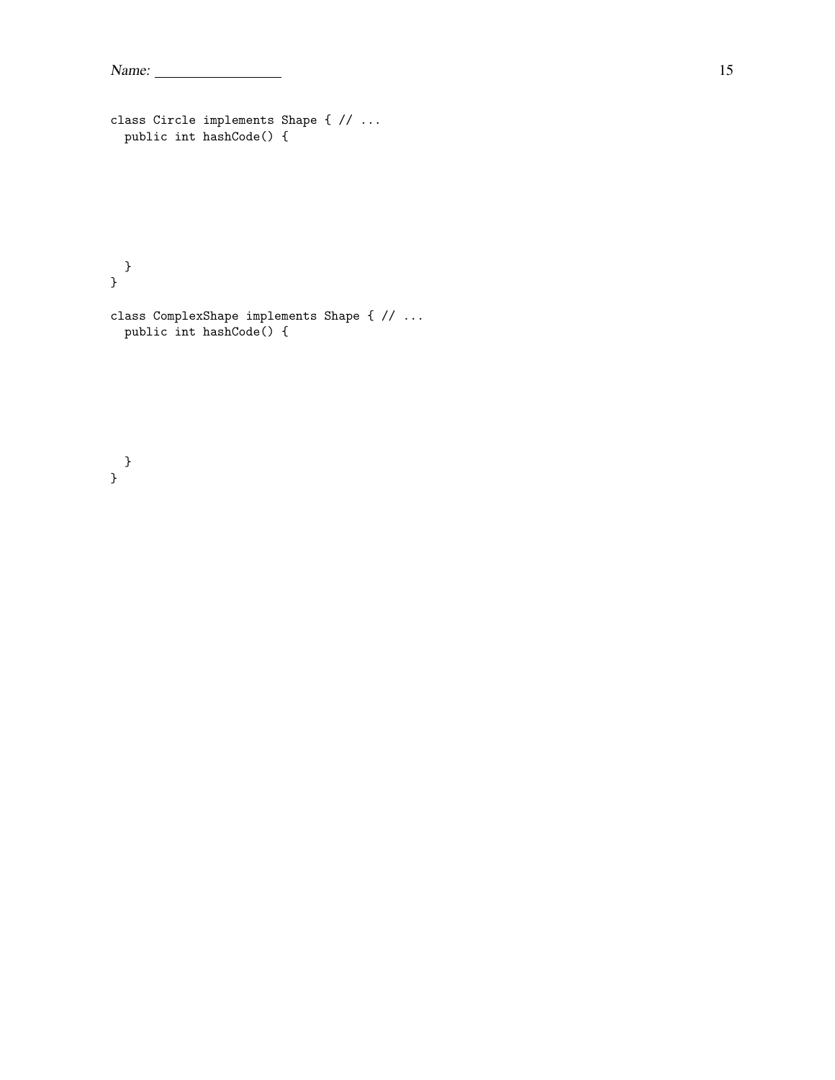```
Name: 15
```

```
class Circle implements Shape { // ...
 public int hashCode() {
```

```
}
}
```
class ComplexShape implements Shape { // ... public int hashCode() {

#### } }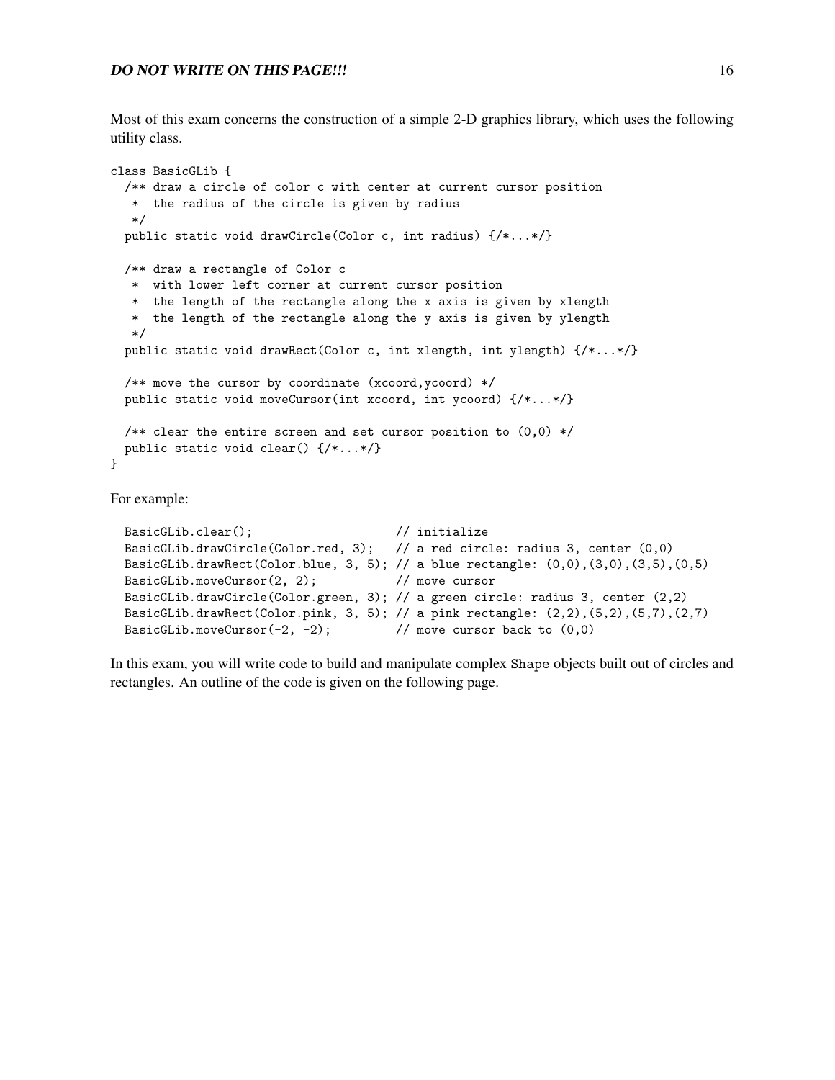Most of this exam concerns the construction of a simple 2-D graphics library, which uses the following utility class.

```
class BasicGLib {
  /** draw a circle of color c with center at current cursor position
   * the radius of the circle is given by radius
   */
 public static void drawCircle(Color c, int radius) {/*...*/}
  /** draw a rectangle of Color c
   * with lower left corner at current cursor position
   * the length of the rectangle along the x axis is given by xlength
   * the length of the rectangle along the y axis is given by ylength
   */
  public static void drawRect(Color c, int xlength, int ylength) {/*...*/}
  /** move the cursor by coordinate (xcoord,ycoord) */
  public static void moveCursor(int xcoord, int ycoord) {/*...*/}
  /** clear the entire screen and set cursor position to (0,0) */
 public static void clear() {/*...*/}
}
```
For example:

```
BasicGLib.clear(); \frac{1}{2} // initialize
BasicGLib.drawCircle(Color.red, 3); // a red circle: radius 3, center (0,0)
BasicGLib.drawRect(Color.blue, 3, 5); // a blue rectangle: (0,0),(3,0),(3,5),(0,5)BasicGLib.moveCursor(2, 2); // move cursor
BasicGLib.drawCircle(Color.green, 3); // a green circle: radius 3, center (2,2)
BasicGLib.drawRect(Color.pink, 3, 5); // a pink rectangle: (2,2),(5,2),(5,7),(2,7)
BasicGLib.moveCursor(-2, -2); // move cursor back to (0,0)
```
In this exam, you will write code to build and manipulate complex Shape objects built out of circles and rectangles. An outline of the code is given on the following page.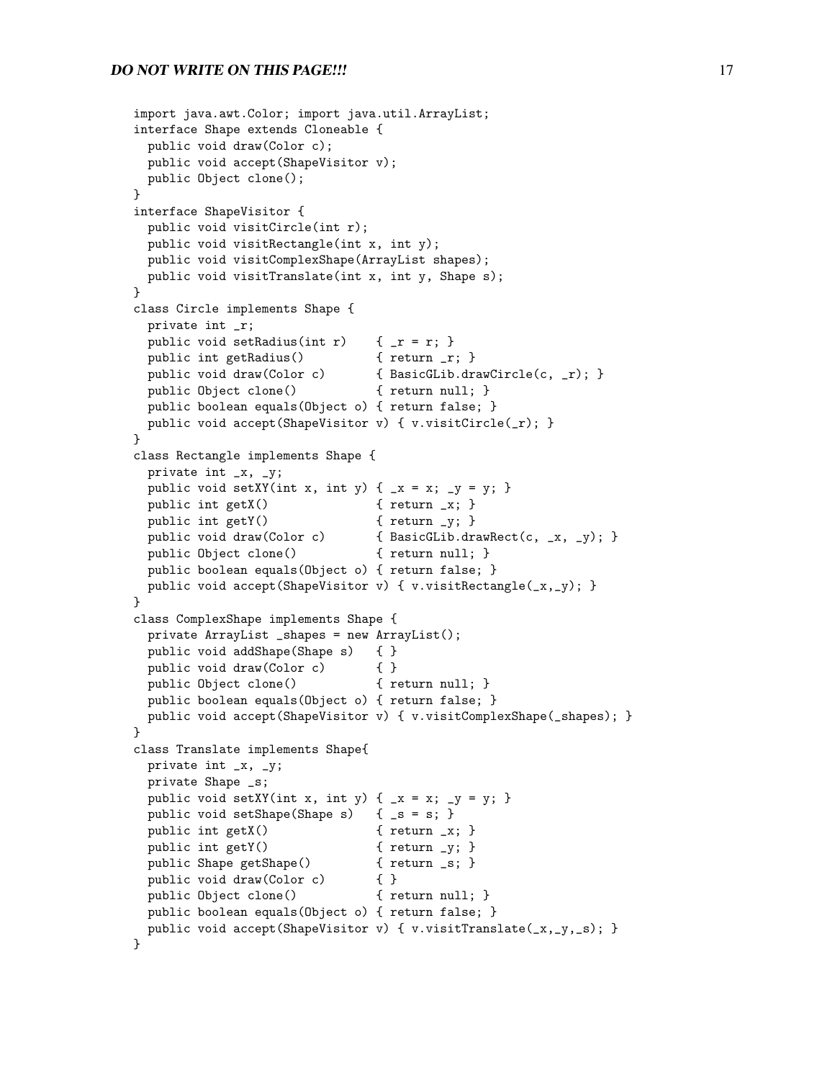#### **DO NOT WRITE ON THIS PAGE!!!** 17

```
import java.awt.Color; import java.util.ArrayList;
interface Shape extends Cloneable {
 public void draw(Color c);
 public void accept(ShapeVisitor v);
 public Object clone();
}
interface ShapeVisitor {
 public void visitCircle(int r);
 public void visitRectangle(int x, int y);
 public void visitComplexShape(ArrayList shapes);
 public void visitTranslate(int x, int y, Shape s);
}
class Circle implements Shape {
 private int _r;
 public void setRadius(int r) \{r = r; \}public int getRadius() { return _r; }
 public void draw(Color c) { BasicGLib.drawCircle(c, _r); }
 public Object clone() { return null; }
 public boolean equals(Object o) { return false; }
 public void accept(ShapeVisitor v) { v.visitCircle(_r); }
}
class Rectangle implements Shape {
 private int _x, _y;
 public void setXY(int x, int y) { _x = x; _y = y; }
 public int getX() { return _x; }
 public int getY() { return _y; }
 public void draw(Color c) { BasicGLib.drawRect(c, _x, _y); }
 public Object clone() { return null; }
 public boolean equals(Object o) { return false; }
 public void accept(ShapeVisitor v) { v.visitRectangle(_x,_y); }
}
class ComplexShape implements Shape {
 private ArrayList _shapes = new ArrayList();
 public void addShape(Shape s) { }
 public void draw(Color c) { }
 public Object clone() { return null; }
 public boolean equals(Object o) { return false; }
 public void accept(ShapeVisitor v) { v.visitComplexShape(_shapes); }
}
class Translate implements Shape{
 private int _x, _y;
 private Shape _s;
 public void setXY(int x, int y) { _x = x; _y = y; }
 public void setShape(Shape s) { _s = s; }
 public int getX() { return _x; }
 public int getY() \{ return _y; \}public Shape getShape() { return _s; }
 public void draw(Color c) { }
 public Object clone() { return null; }
 public boolean equals(Object o) { return false; }
 public void accept(ShapeVisitor v) { v.visitTranslate(_x,_y,_s); }
}
```